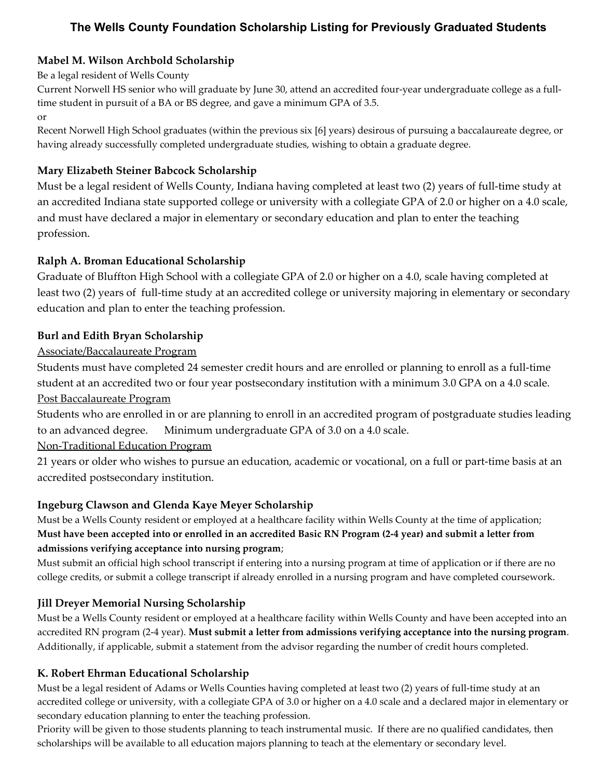# **The Wells County Foundation Scholarship Listing for Previously Graduated Students**

### **Mabel M. Wilson Archbold Scholarship**

#### Be a legal resident of Wells County

Current Norwell HS senior who will graduate by June 30, attend an accredited four-year undergraduate college as a fulltime student in pursuit of a BA or BS degree, and gave a minimum GPA of 3.5. or

Recent Norwell High School graduates (within the previous six [6] years) desirous of pursuing a baccalaureate degree, or having already successfully completed undergraduate studies, wishing to obtain a graduate degree.

### **Mary Elizabeth Steiner Babcock Scholarship**

Must be a legal resident of Wells County, Indiana having completed at least two (2) years of full-time study at an accredited Indiana state supported college or university with a collegiate GPA of 2.0 or higher on a 4.0 scale, and must have declared a major in elementary or secondary education and plan to enter the teaching profession.

#### **Ralph A. Broman Educational Scholarship**

Graduate of Bluffton High School with a collegiate GPA of 2.0 or higher on a 4.0, scale having completed at least two (2) years of full-time study at an accredited college or university majoring in elementary or secondary education and plan to enter the teaching profession.

### **Burl and Edith Bryan Scholarship**

### Associate/Baccalaureate Program

Students must have completed 24 semester credit hours and are enrolled or planning to enroll as a full-time student at an accredited two or four year postsecondary institution with a minimum 3.0 GPA on a 4.0 scale. Post Baccalaureate Program

Students who are enrolled in or are planning to enroll in an accredited program of postgraduate studies leading to an advanced degree. Minimum undergraduate GPA of 3.0 on a 4.0 scale.

#### Non-Traditional Education Program

21 years or older who wishes to pursue an education, academic or vocational, on a full or part-time basis at an accredited postsecondary institution.

#### **Ingeburg Clawson and Glenda Kaye Meyer Scholarship**

Must be a Wells County resident or employed at a healthcare facility within Wells County at the time of application; **Must have been accepted into or enrolled in an accredited Basic RN Program (2-4 year) and submit a letter from admissions verifying acceptance into nursing program**;

Must submit an official high school transcript if entering into a nursing program at time of application or if there are no college credits, or submit a college transcript if already enrolled in a nursing program and have completed coursework.

## **Jill Dreyer Memorial Nursing Scholarship**

Must be a Wells County resident or employed at a healthcare facility within Wells County and have been accepted into an accredited RN program (2-4 year). **Must submit a letter from admissions verifying acceptance into the nursing program**. Additionally, if applicable, submit a statement from the advisor regarding the number of credit hours completed.

#### **K. Robert Ehrman Educational Scholarship**

Must be a legal resident of Adams or Wells Counties having completed at least two (2) years of full-time study at an accredited college or university, with a collegiate GPA of 3.0 or higher on a 4.0 scale and a declared major in elementary or secondary education planning to enter the teaching profession.

Priority will be given to those students planning to teach instrumental music. If there are no qualified candidates, then scholarships will be available to all education majors planning to teach at the elementary or secondary level.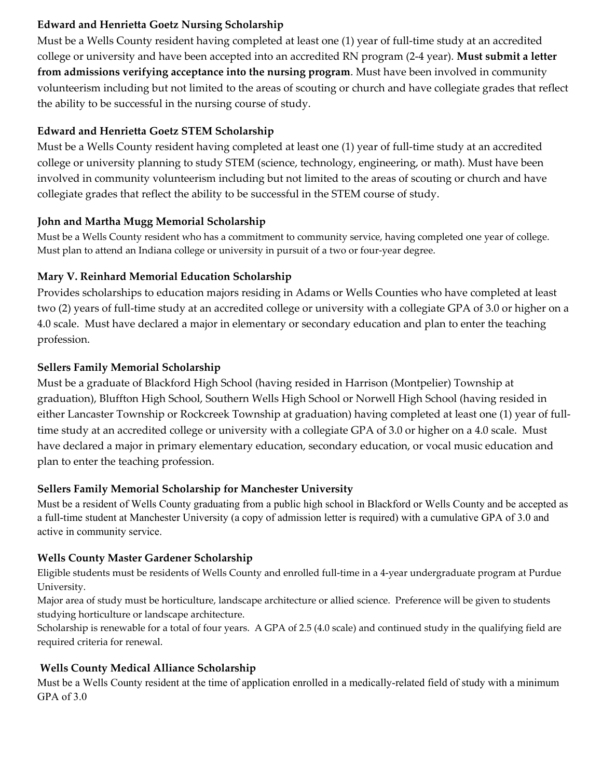### **Edward and Henrietta Goetz Nursing Scholarship**

Must be a Wells County resident having completed at least one (1) year of full-time study at an accredited college or university and have been accepted into an accredited RN program (2-4 year). **Must submit a letter from admissions verifying acceptance into the nursing program**. Must have been involved in community volunteerism including but not limited to the areas of scouting or church and have collegiate grades that reflect the ability to be successful in the nursing course of study.

## **Edward and Henrietta Goetz STEM Scholarship**

Must be a Wells County resident having completed at least one (1) year of full-time study at an accredited college or university planning to study STEM (science, technology, engineering, or math). Must have been involved in community volunteerism including but not limited to the areas of scouting or church and have collegiate grades that reflect the ability to be successful in the STEM course of study.

## **John and Martha Mugg Memorial Scholarship**

Must be a Wells County resident who has a commitment to community service, having completed one year of college. Must plan to attend an Indiana college or university in pursuit of a two or four-year degree.

## **Mary V. Reinhard Memorial Education Scholarship**

Provides scholarships to education majors residing in Adams or Wells Counties who have completed at least two (2) years of full-time study at an accredited college or university with a collegiate GPA of 3.0 or higher on a 4.0 scale. Must have declared a major in elementary or secondary education and plan to enter the teaching profession.

## **Sellers Family Memorial Scholarship**

Must be a graduate of Blackford High School (having resided in Harrison (Montpelier) Township at graduation), Bluffton High School, Southern Wells High School or Norwell High School (having resided in either Lancaster Township or Rockcreek Township at graduation) having completed at least one (1) year of fulltime study at an accredited college or university with a collegiate GPA of 3.0 or higher on a 4.0 scale. Must have declared a major in primary elementary education, secondary education, or vocal music education and plan to enter the teaching profession.

## **Sellers Family Memorial Scholarship for Manchester University**

Must be a resident of Wells County graduating from a public high school in Blackford or Wells County and be accepted as a full-time student at Manchester University (a copy of admission letter is required) with a cumulative GPA of 3.0 and active in community service.

## **Wells County Master Gardener Scholarship**

Eligible students must be residents of Wells County and enrolled full-time in a 4-year undergraduate program at Purdue University.

Major area of study must be horticulture, landscape architecture or allied science. Preference will be given to students studying horticulture or landscape architecture.

Scholarship is renewable for a total of four years. A GPA of 2.5 (4.0 scale) and continued study in the qualifying field are required criteria for renewal.

## **Wells County Medical Alliance Scholarship**

Must be a Wells County resident at the time of application enrolled in a medically-related field of study with a minimum GPA of 3.0